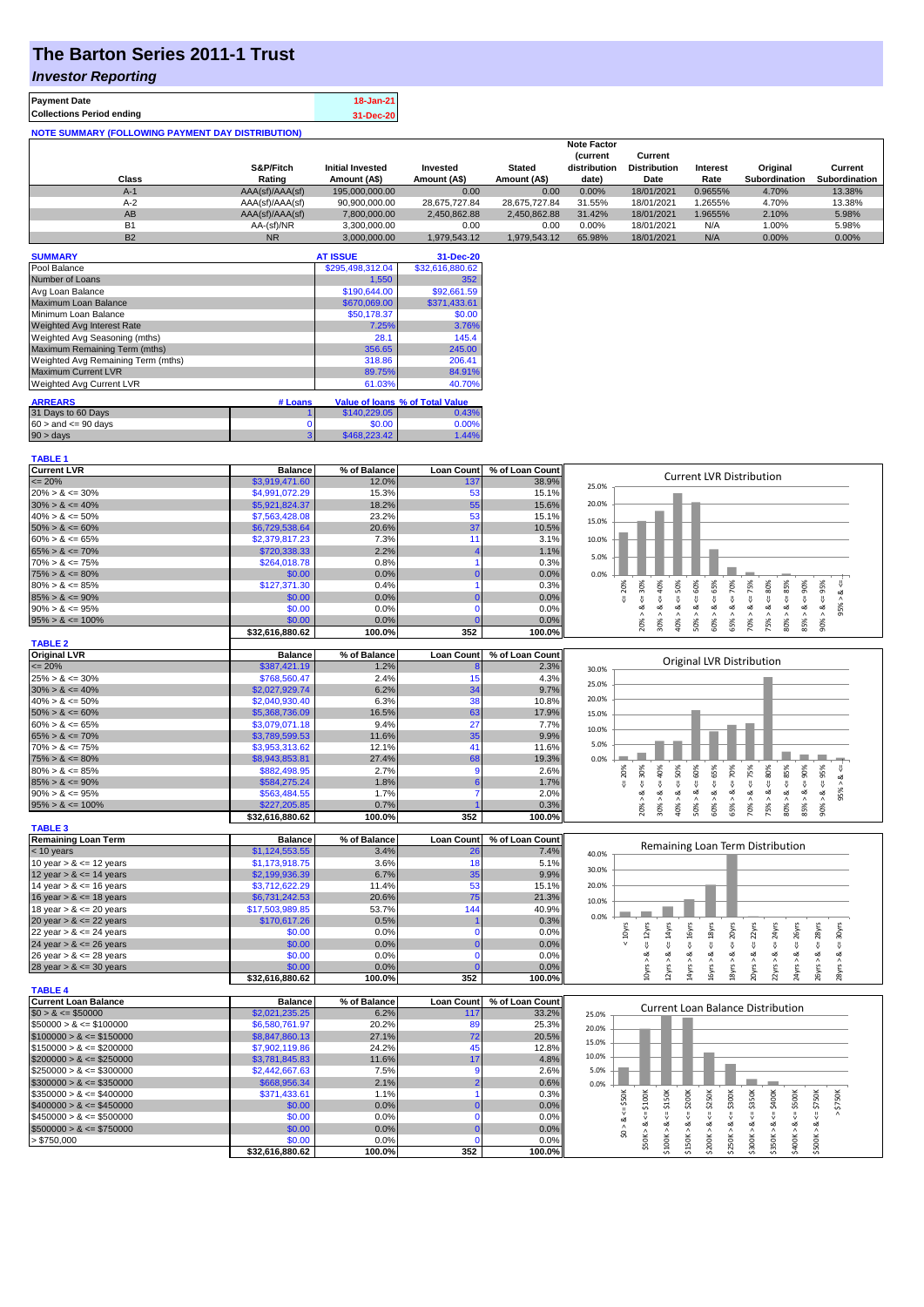# **The Barton Series 2011-1 Trust**

### *Investor Reporting*

| <b>Payment Date</b>                                      | 18-Jan-21 |
|----------------------------------------------------------|-----------|
| <b>Collections Period ending</b>                         | 31-Dec-20 |
| <b>NOTE SUMMARY (FOLLOWING PAYMENT DAY DISTRIBUTION)</b> |           |

|           |                 |                         |               |               | <b>Note Factor</b> |                     |                 |                      |               |
|-----------|-----------------|-------------------------|---------------|---------------|--------------------|---------------------|-----------------|----------------------|---------------|
|           |                 |                         |               |               | <b>Current</b>     | Current             |                 |                      |               |
|           | S&P/Fitch       | <b>Initial Invested</b> | Invested      | <b>Stated</b> | distribution       | <b>Distribution</b> | <b>Interest</b> | Original             | Current       |
| Class     | Rating          | Amount (A\$)            | Amount (A\$)  | Amount (A\$)  | date)              | Date                | Rate            | <b>Subordination</b> | Subordination |
| $A-1$     | AAA(sf)/AAA(sf) | 195,000,000.00          | 0.00          | 0.00          | 0.00%              | 18/01/2021          | 0.9655%         | 4.70%                | 13.38%        |
| $A-2$     | AAA(sf)/AAA(sf) | 90,900,000.00           | 28.675.727.84 | 28.675.727.84 | 31.55%             | 18/01/2021          | .2655%          | 4.70%                | 13.38%        |
| AB        | AAA(sf)/AAA(sf) | 7.800.000.00            | 2,450,862.88  | 2.450.862.88  | 31.42%             | 18/01/2021          | .9655%          | 2.10%                | 5.98%         |
| <b>B1</b> | AA-(sf)/NR      | 3.300.000.00            | 0.00          | 0.00          | 0.00%              | 18/01/2021          | N/A             | 1.00%                | 5.98%         |
| <b>B2</b> | <b>NR</b>       | 3.000.000.00            | 1.979.543.12  | 1.979.543.12  | 65.98%             | 18/01/2021          | N/A             | 0.00%                | 0.00%         |

| <b>SUMMARY</b>                     |         | <b>AT ISSUE</b>  | 31-Dec-20                       |
|------------------------------------|---------|------------------|---------------------------------|
| Pool Balance                       |         | \$295,498,312.04 | \$32,616,880.62                 |
| Number of Loans                    |         | 1,550            | 352                             |
| Avg Loan Balance                   |         | \$190,644.00     | \$92,661.59                     |
| Maximum Loan Balance               |         | \$670,069.00     | \$371,433.61                    |
| Minimum Loan Balance               |         | \$50.178.37      | \$0.00                          |
| <b>Weighted Avg Interest Rate</b>  |         | 7.25%            | 3.76%                           |
| Weighted Avg Seasoning (mths)      |         | 28.1             | 145.4                           |
| Maximum Remaining Term (mths)      |         | 356.65           | 245.00                          |
| Weighted Avg Remaining Term (mths) |         | 318.86           | 206.41                          |
| <b>Maximum Current LVR</b>         |         | 89.75%           | 84.91%                          |
| <b>Weighted Avg Current LVR</b>    |         | 61.03%           | 40.70%                          |
| <b>ARREARS</b>                     | # Loans |                  | Value of loans % of Total Value |
| 31 Days to 60 Days                 |         | \$140,229.05     | 0.43%                           |
| $60 >$ and $\leq 90$ days          | 0       | \$0.00           | 0.00%                           |
| $90 > \text{days}$                 | 3       | \$468,223.42     | 1.44%                           |

| <b>TABLE 1</b>              |                 |              |                   |                 |                                                                                                                                                                                                        |
|-----------------------------|-----------------|--------------|-------------------|-----------------|--------------------------------------------------------------------------------------------------------------------------------------------------------------------------------------------------------|
| <b>Current LVR</b>          | <b>Balance</b>  | % of Balance | <b>Loan Count</b> | % of Loan Count |                                                                                                                                                                                                        |
| $\epsilon = 20\%$           | \$3,919,471.60  | 12.0%        | 137               | 38.9%           | <b>Current LVR Distribution</b><br>25.0%                                                                                                                                                               |
| $20\% > 8 \le 30\%$         | \$4,991,072.29  | 15.3%        | 53                | 15.1%           |                                                                                                                                                                                                        |
| $30\% > 8 \le 40\%$         | \$5,921,824.37  | 18.2%        | 55                | 15.6%           | 20.0%                                                                                                                                                                                                  |
| $40\% > 8 \le 50\%$         | \$7,563,428.08  | 23.2%        | 53                | 15.1%           |                                                                                                                                                                                                        |
| $50\% > 8 \le 60\%$         | \$6,729,538.64  | 20.6%        | 37                | 10.5%           | 15.0%                                                                                                                                                                                                  |
| $60\% > 8 \le 65\%$         | \$2,379,817.23  | 7.3%         | 11                | 3.1%            | 10.0%                                                                                                                                                                                                  |
| $65\% > 8 \le 70\%$         | \$720,338.33    | 2.2%         |                   | 1.1%            |                                                                                                                                                                                                        |
| $70\% > 8 \le 75\%$         | \$264,018.78    | 0.8%         |                   | 0.3%            | 5.0%                                                                                                                                                                                                   |
| $75\% > 8 \le 80\%$         | \$0.00          | 0.0%         | $\sqrt{ }$        | 0.0%            | 0.0%                                                                                                                                                                                                   |
| $80\% > 8 \le 85\%$         | \$127,371.30    | 0.4%         |                   | 0.3%            | $\epsilon = 50\%$<br>$4 = 70\%$<br>20%                                                                                                                                                                 |
| $85\% > 8 \le 90\%$         | \$0.00          | 0.0%         |                   | 0.0%            | $8 - 40%$<br>$4 = 30%$<br>$8 - 75%$<br>$\leq 80\%$<br>$4 = 95%$<br>œ<br>IJ,                                                                                                                            |
| $90\% > 8 \le 95\%$         | \$0.00          | 0.0%         | n                 | 0.0%            | 95%<br>ઌ<br>ઌૻ<br>ઌ                                                                                                                                                                                    |
| $95\% > 8 \le 100\%$        | \$0.00          | 0.0%         |                   | 0.0%            | $50\% > 8 <= 60\%$<br>$60\% > 8 \leq 65\%$<br>$80\% > 8 <= 85\%$<br>$85\% > 8 \leq 90\%$<br>65% > 8<br>$-8 < 800$<br>30% > i<br>40% > i<br>75% > i<br>70% >                                            |
|                             | \$32,616,880.62 | 100.0%       | 352               | 100.0%          | 20%                                                                                                                                                                                                    |
| <b>TABLE 2</b>              |                 |              |                   |                 |                                                                                                                                                                                                        |
| <b>Original LVR</b>         | <b>Balance</b>  | % of Balance | <b>Loan Count</b> | % of Loan Count |                                                                                                                                                                                                        |
| $= 20%$                     | \$387,421.19    | 1.2%         |                   | 2.3%            | Original LVR Distribution<br>30.0%                                                                                                                                                                     |
| $25\% > 8 \le 30\%$         | \$768,560.47    | 2.4%         | 15                | 4.3%            |                                                                                                                                                                                                        |
| $30\% > 8 \le 40\%$         | \$2,027,929.74  | 6.2%         | 34                | 9.7%            | 25.0%                                                                                                                                                                                                  |
| $40\% > 8 \le 50\%$         | \$2,040,930.40  | 6.3%         | 38                | 10.8%           | 20.0%                                                                                                                                                                                                  |
| $50\% > 8 \le 60\%$         | \$5,368,736.09  | 16.5%        | 63                | 17.9%           | 15.0%                                                                                                                                                                                                  |
| $60\% > 8 \le 65\%$         | \$3,079,071.18  | 9.4%         | 27                | 7.7%            |                                                                                                                                                                                                        |
| $65\% > 8 \le 70\%$         | \$3,789,599.53  | 11.6%        | 35                | 9.9%            | 10.0%                                                                                                                                                                                                  |
| $70\% > 8 \le 75\%$         | \$3,953,313.62  | 12.1%        | 41                | 11.6%           | 5.0%                                                                                                                                                                                                   |
| $75\% > 8 \le 80\%$         | \$8,943,853.81  | 27.4%        | 68                | 19.3%           | 0.0%                                                                                                                                                                                                   |
| $80\% > 8 \le 85\%$         | \$882,498.95    | 2.7%         | 9                 | 2.6%            | 70%<br>75%<br>95%<br>20%<br>30%<br>₩                                                                                                                                                                   |
| $85\% > 8 \le 90\%$         | \$584,275.24    | 1.8%         |                   | 1.7%            | $<=50\%$<br>$<=40\%$<br>95% > 8<br>₩                                                                                                                                                                   |
| $90\% > 8 \le 95\%$         | \$563,484.55    | 1.7%         |                   | 2.0%            | $8 \leq i$<br>8 < 1<br>8 < 1<br>∝                                                                                                                                                                      |
| $95\% > 8 \le 100\%$        | \$227,205.85    | 0.7%         |                   | 0.3%            | $50\% > 8$ <= 60%<br>$60\% > 8 \leq 65\%$<br>$75\% > 8 <= 80\%$<br>$80\% > 8 <= 85\%$<br>$85\% > 8 <= 90\%$<br>90% ><br>20% ><br>$30\%$ $>$<br>$40\%$ $>$<br>65% ><br>70% >                            |
|                             | \$32,616,880.62 | 100.0%       | 352               | 100.0%          |                                                                                                                                                                                                        |
| <b>TABLE 3</b>              |                 |              |                   |                 |                                                                                                                                                                                                        |
| <b>Remaining Loan Term</b>  | <b>Balance</b>  | % of Balance | <b>Loan Count</b> | % of Loan Count |                                                                                                                                                                                                        |
| < 10 years                  | \$1,124,553.55  | 3.4%         | 26                | 7.4%            | Remaining Loan Term Distribution<br>40.0%                                                                                                                                                              |
| 10 year $> 8 \le 12$ years  | \$1,173,918.75  | 3.6%         | 18                | 5.1%            |                                                                                                                                                                                                        |
| 12 year $> 8 \le 14$ years  | \$2,199,936.39  | 6.7%         | 35                | 9.9%            | 30.0%                                                                                                                                                                                                  |
| 14 year $> 8 \le 16$ years  | \$3,712,622.29  | 11.4%        | 53                | 15.1%           | 20.0%                                                                                                                                                                                                  |
| 16 year $> 8 \le 18$ years  | \$6,731,242.53  | 20.6%        | 75                | 21.3%           | 10.0%                                                                                                                                                                                                  |
| 18 year $> 8 \le 20$ years  | \$17,503,989.85 | 53.7%        | 144               | 40.9%           |                                                                                                                                                                                                        |
| 20 year $> 8 \le 22$ years  | \$170,617.26    | 0.5%         |                   | 0.3%            | 0.0%                                                                                                                                                                                                   |
| 22 year $> 8 \le 24$ years  | \$0.00          | 0.0%         | $\mathbf 0$       | 0.0%            | $\leq$ = 18yrs<br>20yrs<br>$\epsilon$ = 22 $\gamma$ rs<br>$\leq$ 14yrs<br>$\leq$ 16 $yrs$<br>$\leq$ = 24yrs<br>$\leq$ 26yrs<br>28yrs<br>$4 = 30$ yrs<br>$< 10$ yrs<br>$\leq 12$ yrs                    |
| 24 year $> 8 \le 26$ years  | \$0.00          | 0.0%         |                   | 0.0%            | ₹<br>V                                                                                                                                                                                                 |
| 26 year $> 8 \le 28$ years  | \$0.00          | 0.0%         | $\Omega$          | 0.0%            | ಹ                                                                                                                                                                                                      |
| 28 year $> 8 \le 30$ years  | \$0.00          | 0.0%         |                   | 0.0%            | 10yrs > 8<br>18yrs > 8                                                                                                                                                                                 |
|                             | \$32,616,880.62 | 100.0%       | 352               | 100.0%          | 14yrs > 8<br>16yrs > 8<br>20yrs > 8<br>22yrs > 8<br>24yrs > 8<br>26yrs > 8<br>28yrs > 8<br>$12\gamma$ rs > $\ell$                                                                                      |
| <b>TABLE 4</b>              |                 |              |                   |                 |                                                                                                                                                                                                        |
| <b>Current Loan Balance</b> | <b>Balance</b>  | % of Balance | <b>Loan Count</b> | % of Loan Count |                                                                                                                                                                                                        |
| $$0 > 8 \le $50000$         | \$2,021,235.25  | 6.2%         | 117               | 33.2%           | <b>Current Loan Balance Distribution</b><br>25.0%                                                                                                                                                      |
| $$50000 > 8 \le $100000$    | \$6,580,761.97  | 20.2%        | 89                | 25.3%           | 20.0%                                                                                                                                                                                                  |
| $$100000 > 8 \leq $150000$  | \$8,847,860.13  | 27.1%        | 72                | 20.5%           |                                                                                                                                                                                                        |
| $$150000 > 8 \leq $200000$  | \$7,902,119.86  | 24.2%        | 45                | 12.8%           | 15.0%                                                                                                                                                                                                  |
| $$200000 > 8 \leq $250000$  | \$3,781,845.83  | 11.6%        | 17                | 4.8%            | 10.0%                                                                                                                                                                                                  |
| $$250000 > 8 \leq $300000$  | \$2,442,667.63  | 7.5%         | <b>g</b>          | 2.6%            | 5.0%                                                                                                                                                                                                   |
| $$300000 > 8 \leq $350000$  | \$668,956.34    | 2.1%         |                   | 0.6%            | 0.0%                                                                                                                                                                                                   |
| $$350000 > 8 \leq $400000$  | \$371,433.61    | 1.1%         |                   | 0.3%            |                                                                                                                                                                                                        |
| $$400000 > 8 \le $450000$   | \$0.00          | 0.0%         |                   | 0.0%            | \$200K<br>$>$ \$750K<br>$\leq$ \$50K                                                                                                                                                                   |
| $$450000 > 8 \le $500000$   | \$0.00          | 0.0%         | $\Omega$          | 0.0%            | $4 = $250K$<br>\$50K > & <= \$100K<br>$\le$ \$500K<br>$\overset{\shortparallel}{\vee}$                                                                                                                 |
| $$500000 > 8 \leq $750000$  | \$0.00          | 0.0%         | 0                 | 0.0%            | \$0 > 8                                                                                                                                                                                                |
| > \$750,000                 | \$0.00          | 0.0%         | $\mathbf 0$       | 0.0%            |                                                                                                                                                                                                        |
|                             | \$32,616,880.62 | 100.0%       | 352               | 100.0%          | $$250K > 8 \Leftarrow $300K$<br>$$300K > 8 \Leftarrow $350K$<br>$$100K > 8 \Leftarrow $150K$<br>$$350K > 8 \Leftarrow $400K$<br>$$500K > 8 \Leftarrow $750K$<br>\$150K > 8<br>\$200K > 8<br>\$400K > 8 |
|                             |                 |              |                   |                 |                                                                                                                                                                                                        |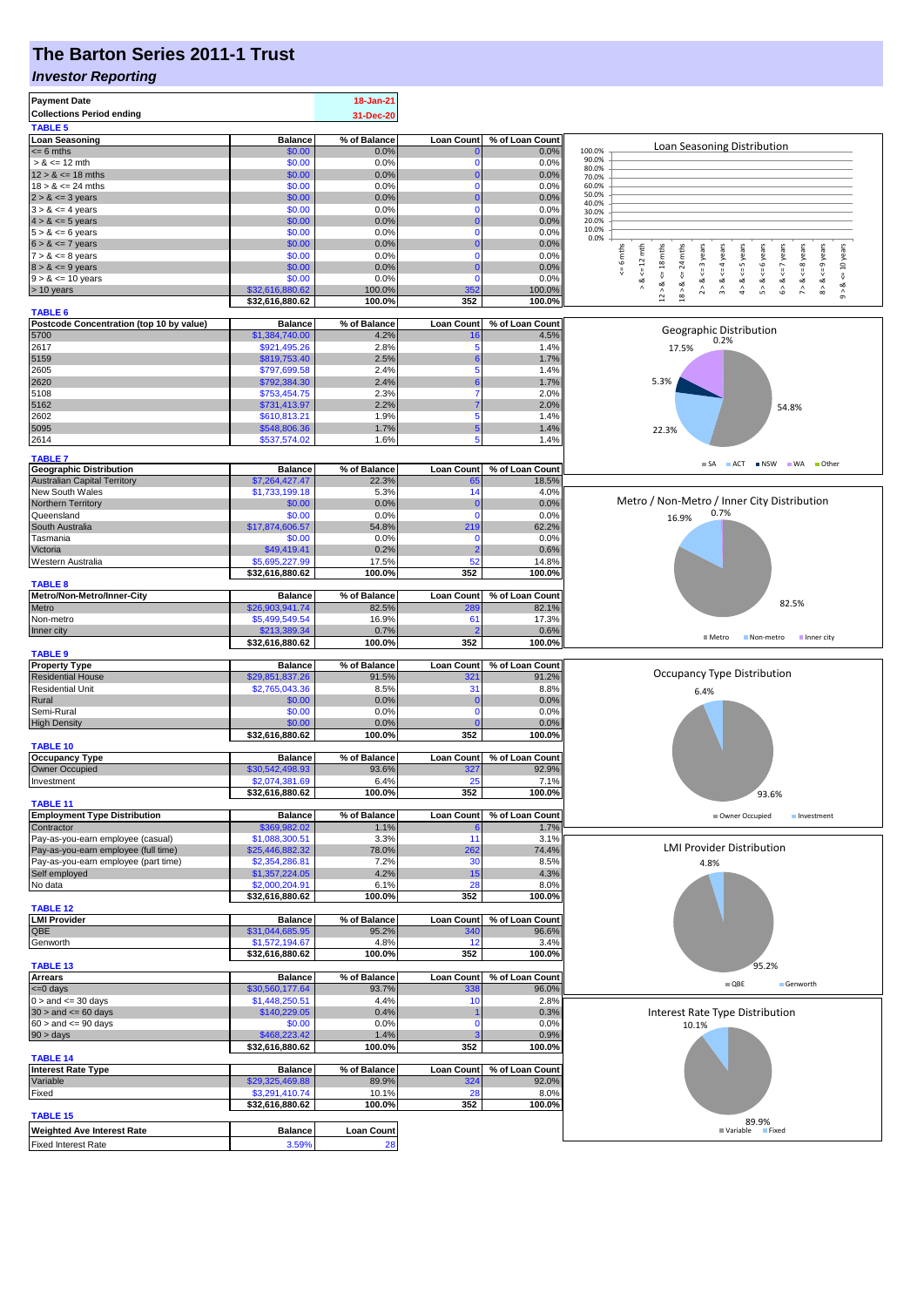## **The Barton Series 2011-1 Trust**

#### *Investor Reporting*

| <b>Payment Date</b>                                   |                                   | 18-Jan-21             |                               |                          |                                                                                                                                                                                                    |  |  |  |
|-------------------------------------------------------|-----------------------------------|-----------------------|-------------------------------|--------------------------|----------------------------------------------------------------------------------------------------------------------------------------------------------------------------------------------------|--|--|--|
| <b>Collections Period ending</b>                      |                                   | 31-Dec-20             |                               |                          |                                                                                                                                                                                                    |  |  |  |
| <b>TABLE 5</b>                                        |                                   |                       |                               |                          |                                                                                                                                                                                                    |  |  |  |
| <b>Loan Seasoning</b>                                 | <b>Balance</b>                    | % of Balance          | <b>Loan Count</b>             | % of Loan Count          | Loan Seasoning Distribution                                                                                                                                                                        |  |  |  |
| $= 6$ mths                                            | \$0.00                            | 0.0%                  | O                             | 0.0%                     | 100.0%<br>90.0%                                                                                                                                                                                    |  |  |  |
| $> 8 \le 12$ mth                                      | \$0.00                            | 0.0%                  | $\mathbf 0$                   | 0.0%                     | 80.0%                                                                                                                                                                                              |  |  |  |
| $12 > 8 \le 18$ mths<br>$18 > 8 \le 24$ mths          | \$0.00<br>\$0.00                  | 0.0%<br>0.0%          | $\overline{0}$<br>$\mathbf 0$ | 0.0%<br>0.0%             | 70.0%<br>60.0%                                                                                                                                                                                     |  |  |  |
| $2 > 8 \le 3$ years                                   | \$0.00                            | 0.0%                  | $\mathbf 0$                   | 0.0%                     | 50.0%                                                                                                                                                                                              |  |  |  |
| $3 > 8 \le 4$ years                                   | \$0.00                            | 0.0%                  | $\mathbf 0$                   | 0.0%                     | 40.0%<br>30.0%                                                                                                                                                                                     |  |  |  |
| $4 > 8 \le 5$ years                                   | \$0.00                            | 0.0%                  | $\mathbf 0$                   | 0.0%                     | 20.0%                                                                                                                                                                                              |  |  |  |
| $5 > 8 \le 6$ years                                   | \$0.00                            | 0.0%                  | $\mathbf 0$                   | 0.0%                     | 10.0%<br>0.0%                                                                                                                                                                                      |  |  |  |
| $6 > 8 \le 7$ years                                   | \$0.00                            | 0.0%                  | $\mathbf 0$                   | 0.0%                     |                                                                                                                                                                                                    |  |  |  |
| $7 > 8 \le 8$ years                                   | \$0.00                            | 0.0%                  | $\mathbf 0$                   | 0.0%                     | $x = 6$ mths<br>$\leq$ 18 mths<br>mths<br>$\leq$ = 3 years<br>$\leq$ = 4 years<br>5 years<br>6 years<br>$\leq$ 7 years<br>$\leq$ 8 years<br>$\leq$ 9 years<br>$\le$ = 10 years<br>$12 \text{ mth}$ |  |  |  |
| $8 > 8 \le 9$ years                                   | \$0.00                            | 0.0%                  | $\mathbf 0$                   | 0.0%                     | 24<br>₩<br>$\stackrel{\scriptscriptstyle{II}}{\mathsf{v}}$<br>V<br>₩                                                                                                                               |  |  |  |
| $9 > 8 \le 10$ years                                  | \$0.00<br>\$32,616,880.62         | 0.0%<br>100.0%        | $\mathbf 0$                   | 0.0%                     | 2 > 8<br>3 > 8<br>4 > 8<br>5 > 8<br>6 > 8<br>7 > 8<br>8 > 8<br>œ<br>ಷ<br>ಷ                                                                                                                         |  |  |  |
| > 10 years                                            | \$32,616,880.62                   | 100.0%                | 352<br>352                    | 100.0%<br>100.0%         | 12 > 8.<br>$18$ $\times$<br>$^\wedge_\mathfrak{D}$                                                                                                                                                 |  |  |  |
| <b>TABLE 6</b>                                        |                                   |                       |                               |                          |                                                                                                                                                                                                    |  |  |  |
| Postcode Concentration (top 10 by value)              | <b>Balance</b>                    | % of Balance          | <b>Loan Count</b>             | % of Loan Count          |                                                                                                                                                                                                    |  |  |  |
| 5700                                                  | \$1,384,740.00                    | 4.2%                  | 16                            | 4.5%                     | Geographic Distribution<br>0.2%                                                                                                                                                                    |  |  |  |
| 2617                                                  | \$921,495.26                      | 2.8%                  | 5                             | 1.4%                     | 17.5%                                                                                                                                                                                              |  |  |  |
| 5159                                                  | \$819,753.40                      | 2.5%                  | 6                             | 1.7%                     |                                                                                                                                                                                                    |  |  |  |
| 2605                                                  | \$797,699.58<br>\$792,384.30      | 2.4%<br>2.4%          | 5<br>6                        | 1.4%                     | 5.3%                                                                                                                                                                                               |  |  |  |
| 2620<br>5108                                          | \$753,454.75                      | 2.3%                  | 7                             | 1.7%<br>2.0%             |                                                                                                                                                                                                    |  |  |  |
| 5162                                                  | \$731,413.97                      | 2.2%                  |                               | 2.0%                     | 54.8%                                                                                                                                                                                              |  |  |  |
| 2602                                                  | \$610,813.21                      | 1.9%                  | 5                             | 1.4%                     |                                                                                                                                                                                                    |  |  |  |
| 5095                                                  | \$548,806.36                      | 1.7%                  | 5                             | 1.4%                     | 22.3%                                                                                                                                                                                              |  |  |  |
| 2614                                                  | \$537,574.02                      | 1.6%                  | 5                             | 1.4%                     |                                                                                                                                                                                                    |  |  |  |
| <b>TABLE 7</b>                                        |                                   |                       |                               |                          |                                                                                                                                                                                                    |  |  |  |
| <b>Geographic Distribution</b>                        | <b>Balance</b>                    | % of Balance          | Loan Count                    | % of Loan Count          | $\blacksquare$ ACT<br>NSW WA Other<br><b>SA</b>                                                                                                                                                    |  |  |  |
| <b>Australian Capital Territory</b>                   | \$7,264,427.47                    | 22.3%                 | 65                            | 18.5%                    |                                                                                                                                                                                                    |  |  |  |
| New South Wales                                       | \$1,733,199.18                    | 5.3%                  | 14                            | 4.0%                     |                                                                                                                                                                                                    |  |  |  |
| Northern Territory                                    | \$0.00                            | 0.0%                  | $\mathbf 0$                   | 0.0%                     | Metro / Non-Metro / Inner City Distribution                                                                                                                                                        |  |  |  |
| Queensland                                            | \$0.00                            | 0.0%                  | $\mathbf 0$                   | 0.0%                     | 0.7%<br>16.9%                                                                                                                                                                                      |  |  |  |
| South Australia                                       | \$17,874,606.57                   | 54.8%                 | 219                           | 62.2%                    |                                                                                                                                                                                                    |  |  |  |
| Tasmania                                              | \$0.00                            | 0.0%                  | 0                             | 0.0%                     |                                                                                                                                                                                                    |  |  |  |
| Victoria                                              | \$49,419.41<br>\$5,695,227.99     | 0.2%<br>17.5%         | $\overline{2}$<br>52          | 0.6%<br>14.8%            |                                                                                                                                                                                                    |  |  |  |
| Western Australia                                     | \$32,616,880.62                   | 100.0%                | 352                           | 100.0%                   |                                                                                                                                                                                                    |  |  |  |
| <b>TABLE 8</b>                                        |                                   |                       |                               |                          |                                                                                                                                                                                                    |  |  |  |
| Metro/Non-Metro/Inner-City                            | <b>Balance</b>                    | % of Balance          | <b>Loan Count</b>             | % of Loan Count          |                                                                                                                                                                                                    |  |  |  |
| Metro                                                 | \$26,903,941.74                   | 82.5%                 | 289                           | 82.1%                    | 82.5%                                                                                                                                                                                              |  |  |  |
| Non-metro                                             | \$5,499,549.54                    | 16.9%                 | 61                            | 17.3%                    |                                                                                                                                                                                                    |  |  |  |
| Inner city                                            | \$213,389.34                      | 0.7%                  |                               | 0.6%                     | $M$ Metro<br>Non-metro<br>Inner city                                                                                                                                                               |  |  |  |
|                                                       | \$32,616,880.62                   | 100.0%                | 352                           | 100.0%                   |                                                                                                                                                                                                    |  |  |  |
| <b>TABLE 9</b>                                        |                                   |                       |                               |                          |                                                                                                                                                                                                    |  |  |  |
| <b>Property Type</b><br><b>Residential House</b>      | <b>Balance</b><br>\$29,851,837.26 | % of Balance<br>91.5% | <b>Loan Count</b><br>321      | % of Loan Count<br>91.2% | Occupancy Type Distribution<br>6.4%                                                                                                                                                                |  |  |  |
| <b>Residential Unit</b>                               | \$2,765,043.36                    | 8.5%                  | 31                            | 8.8%                     |                                                                                                                                                                                                    |  |  |  |
| Rural                                                 | \$0.00                            | 0.0%                  | 0                             | 0.0%                     |                                                                                                                                                                                                    |  |  |  |
| Semi-Rural                                            | \$0.00                            | 0.0%                  | $\mathbf 0$                   | 0.0%                     |                                                                                                                                                                                                    |  |  |  |
| <b>High Density</b>                                   | \$0.00                            | 0.0%                  |                               | 0.0%                     |                                                                                                                                                                                                    |  |  |  |
|                                                       | \$32,616,880.62                   | 100.0%                | 352                           | 100.0%                   |                                                                                                                                                                                                    |  |  |  |
| <b>TABLE 10</b>                                       |                                   |                       |                               |                          |                                                                                                                                                                                                    |  |  |  |
| <b>Occupancy Type</b><br><b>Owner Occupied</b>        | <b>Balance</b>                    | % of Balance<br>93.6% | <b>Loan Count</b>             | % of Loan Count<br>92.9% |                                                                                                                                                                                                    |  |  |  |
| Investment                                            | \$30,542,498.93<br>\$2,074,381.69 | 6.4%                  | 327<br>25                     | 7.1%                     |                                                                                                                                                                                                    |  |  |  |
|                                                       | \$32,616,880.62                   | 100.0%                | 352                           | 100.0%                   | 93.6%                                                                                                                                                                                              |  |  |  |
| <b>TABLE 11</b>                                       |                                   |                       |                               |                          |                                                                                                                                                                                                    |  |  |  |
| <b>Employment Type Distribution</b>                   | <b>Balance</b>                    | % of Balance          | <b>Loan Count</b>             | % of Loan Count          | Owner Occupied<br>Investment                                                                                                                                                                       |  |  |  |
| Contractor                                            | \$369,982.02                      | 1.1%                  |                               | 1.7%                     |                                                                                                                                                                                                    |  |  |  |
| Pay-as-you-earn employee (casual)                     | \$1,088,300.51                    | 3.3%                  | 11                            | 3.1%                     | <b>LMI Provider Distribution</b>                                                                                                                                                                   |  |  |  |
| Pay-as-you-earn employee (full time)                  | \$25,446,882.32                   | 78.0%                 | 262                           | 74.4%                    |                                                                                                                                                                                                    |  |  |  |
| Pay-as-you-earn employee (part time)<br>Self employed | \$2,354,286.81<br>\$1,357,224.05  | 7.2%<br>4.2%          | 30<br>15                      | 8.5%<br>4.3%             | 4.8%                                                                                                                                                                                               |  |  |  |
| No data                                               | \$2,000,204.91                    | 6.1%                  | 28                            | 8.0%                     |                                                                                                                                                                                                    |  |  |  |
|                                                       | \$32,616,880.62                   | 100.0%                | 352                           | 100.0%                   |                                                                                                                                                                                                    |  |  |  |
| <b>TABLE 12</b>                                       |                                   |                       |                               |                          |                                                                                                                                                                                                    |  |  |  |
| <b>LMI Provider</b>                                   | <b>Balance</b>                    | % of Balance          | <b>Loan Count</b>             | % of Loan Count          |                                                                                                                                                                                                    |  |  |  |
| QBE                                                   | \$31,044,685.95                   | 95.2%                 | 340                           | 96.6%                    |                                                                                                                                                                                                    |  |  |  |
| Genworth                                              | \$1,572,194.67                    | 4.8%                  | 12                            | 3.4%                     |                                                                                                                                                                                                    |  |  |  |
|                                                       | \$32,616,880.62                   | 100.0%                | 352                           | 100.0%                   |                                                                                                                                                                                                    |  |  |  |
| <b>TABLE 13</b><br><b>Arrears</b>                     | <b>Balance</b>                    | % of Balance          | <b>Loan Count</b>             | % of Loan Count          | 95.2%                                                                                                                                                                                              |  |  |  |
| $=0$ days                                             | \$30,560,177.64                   | 93.7%                 | 338                           | 96.0%                    | $\blacksquare$ QBE<br>Genworth                                                                                                                                                                     |  |  |  |
| $0 >$ and $\leq 30$ days                              | \$1,448,250.51                    | 4.4%                  | 10                            | 2.8%                     |                                                                                                                                                                                                    |  |  |  |
| $30 >$ and $\leq 60$ days                             | \$140,229.05                      | 0.4%                  |                               | 0.3%                     | Interest Rate Type Distribution                                                                                                                                                                    |  |  |  |
| $60 >$ and $\leq 90$ days                             | \$0.00                            | 0.0%                  | $\mathbf 0$                   | 0.0%                     | 10.1%                                                                                                                                                                                              |  |  |  |
| 90 > days                                             | \$468,223.42                      | 1.4%                  |                               | 0.9%                     |                                                                                                                                                                                                    |  |  |  |
|                                                       | \$32,616,880.62                   | 100.0%                | 352                           | 100.0%                   |                                                                                                                                                                                                    |  |  |  |
| <b>TABLE 14</b>                                       |                                   |                       |                               |                          |                                                                                                                                                                                                    |  |  |  |
| <b>Interest Rate Type</b><br>Variable                 | <b>Balance</b>                    | % of Balance<br>89.9% | <b>Loan Count</b>             | % of Loan Count<br>92.0% |                                                                                                                                                                                                    |  |  |  |
| Fixed                                                 | \$29,325,469.88<br>\$3,291,410.74 | 10.1%                 | 324<br>28                     | 8.0%                     |                                                                                                                                                                                                    |  |  |  |
|                                                       | \$32,616,880.62                   | 100.0%                | 352                           | 100.0%                   |                                                                                                                                                                                                    |  |  |  |
| <b>TABLE 15</b>                                       |                                   |                       |                               |                          |                                                                                                                                                                                                    |  |  |  |
|                                                       |                                   |                       |                               |                          |                                                                                                                                                                                                    |  |  |  |
| <b>Weighted Ave Interest Rate</b>                     | <b>Balance</b>                    | <b>Loan Count</b>     |                               |                          | 89.9%<br><b>■ Variable</b><br><b>Fixed</b>                                                                                                                                                         |  |  |  |